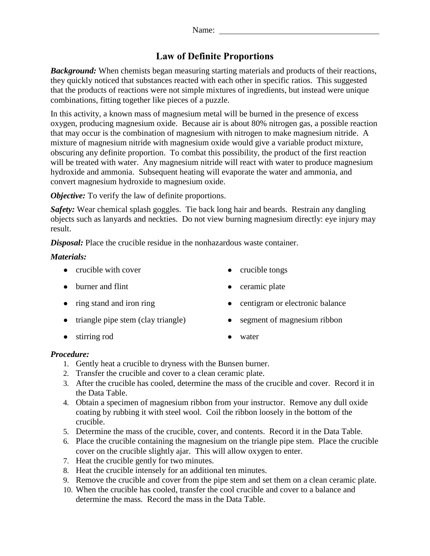# **Law of Definite Proportions**

*Background:* When chemists began measuring starting materials and products of their reactions, they quickly noticed that substances reacted with each other in specific ratios. This suggested that the products of reactions were not simple mixtures of ingredients, but instead were unique combinations, fitting together like pieces of a puzzle.

In this activity, a known mass of magnesium metal will be burned in the presence of excess oxygen, producing magnesium oxide. Because air is about 80% nitrogen gas, a possible reaction that may occur is the combination of magnesium with nitrogen to make magnesium nitride. A mixture of magnesium nitride with magnesium oxide would give a variable product mixture, obscuring any definite proportion. To combat this possibility, the product of the first reaction will be treated with water. Any magnesium nitride will react with water to produce magnesium hydroxide and ammonia. Subsequent heating will evaporate the water and ammonia, and convert magnesium hydroxide to magnesium oxide.

*Objective:* To verify the law of definite proportions.

*Safety:* Wear chemical splash goggles. Tie back long hair and beards. Restrain any dangling objects such as lanyards and neckties. Do not view burning magnesium directly: eye injury may result.

*Disposal:* Place the crucible residue in the nonhazardous waste container.

#### *Materials:*

- crucible with cover crucible tongs
	-
- burner and flint ceramic plate
- 
- triangle pipe stem (clay triangle) segment of magnesium ribbon
- stirring rod water
- 
- ring stand and iron ring electronic balance
	-

#### *Procedure:*

- 1. Gently heat a crucible to dryness with the Bunsen burner.
- 2. Transfer the crucible and cover to a clean ceramic plate.
- 3. After the crucible has cooled, determine the mass of the crucible and cover. Record it in the Data Table.
- 4. Obtain a specimen of magnesium ribbon from your instructor. Remove any dull oxide coating by rubbing it with steel wool. Coil the ribbon loosely in the bottom of the crucible.
- 5. Determine the mass of the crucible, cover, and contents. Record it in the Data Table.
- 6. Place the crucible containing the magnesium on the triangle pipe stem. Place the crucible cover on the crucible slightly ajar. This will allow oxygen to enter.
- 7. Heat the crucible gently for two minutes.
- 8. Heat the crucible intensely for an additional ten minutes.
- 9. Remove the crucible and cover from the pipe stem and set them on a clean ceramic plate.
- 10. When the crucible has cooled, transfer the cool crucible and cover to a balance and determine the mass. Record the mass in the Data Table.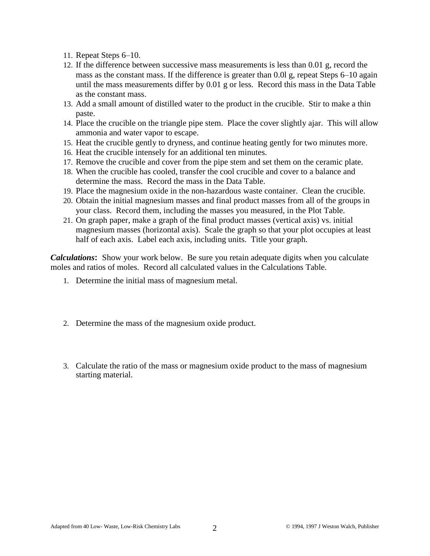- 11. Repeat Steps 6–10.
- 12. If the difference between successive mass measurements is less than 0.01 g, record the mass as the constant mass. If the difference is greater than 0.01 g, repeat Steps 6–10 again until the mass measurements differ by 0.01 g or less. Record this mass in the Data Table as the constant mass.
- 13. Add a small amount of distilled water to the product in the crucible. Stir to make a thin paste.
- 14. Place the crucible on the triangle pipe stem. Place the cover slightly ajar. This will allow ammonia and water vapor to escape.
- 15. Heat the crucible gently to dryness, and continue heating gently for two minutes more.
- 16. Heat the crucible intensely for an additional ten minutes.
- 17. Remove the crucible and cover from the pipe stem and set them on the ceramic plate.
- 18. When the crucible has cooled, transfer the cool crucible and cover to a balance and determine the mass. Record the mass in the Data Table.
- 19. Place the magnesium oxide in the non-hazardous waste container. Clean the crucible.
- 20. Obtain the initial magnesium masses and final product masses from all of the groups in your class. Record them, including the masses you measured, in the Plot Table.
- 21. On graph paper, make a graph of the final product masses (vertical axis) vs. initial magnesium masses (horizontal axis). Scale the graph so that your plot occupies at least half of each axis. Label each axis, including units. Title your graph.

*Calculations***:** Show your work below. Be sure you retain adequate digits when you calculate moles and ratios of moles. Record all calculated values in the Calculations Table.

- 1. Determine the initial mass of magnesium metal.
- 2. Determine the mass of the magnesium oxide product.
- 3. Calculate the ratio of the mass or magnesium oxide product to the mass of magnesium starting material.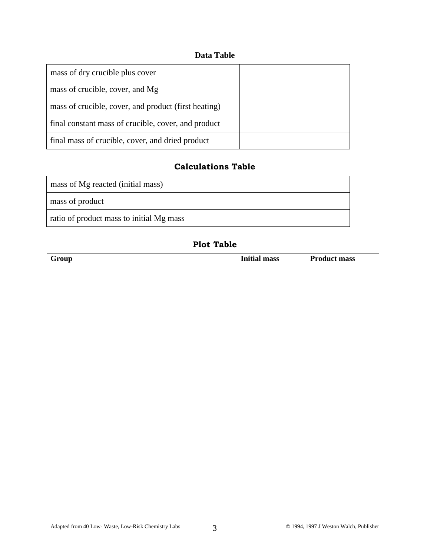### **Data Table**

| mass of dry crucible plus cover                      |  |
|------------------------------------------------------|--|
| mass of crucible, cover, and Mg                      |  |
| mass of crucible, cover, and product (first heating) |  |
| final constant mass of crucible, cover, and product  |  |
| final mass of crucible, cover, and dried product     |  |

## **Calculations Table**

| mass of Mg reacted (initial mass)        |  |
|------------------------------------------|--|
| mass of product                          |  |
| ratio of product mass to initial Mg mass |  |

## **Plot Table**

|--|